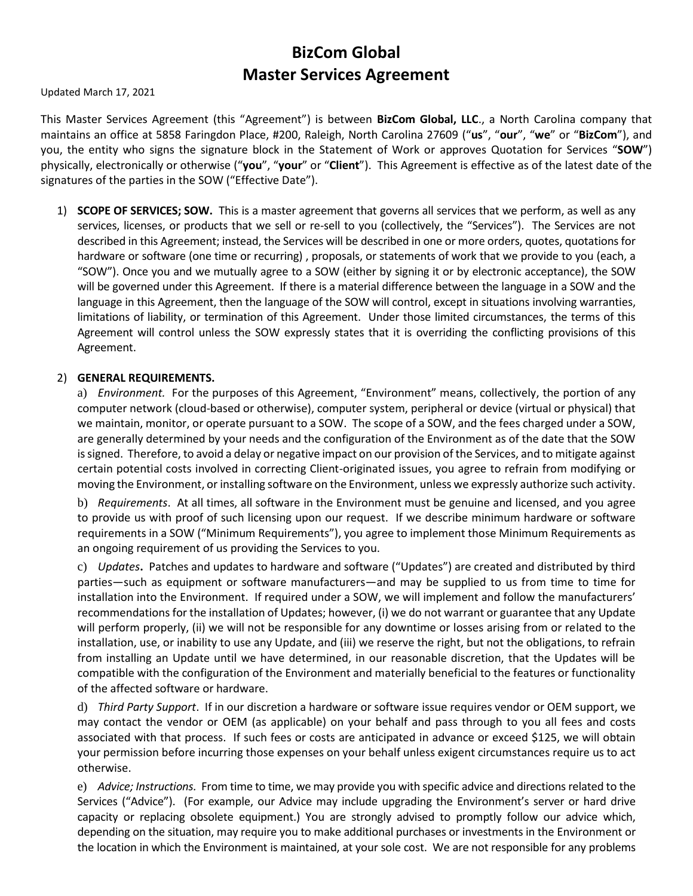# **BizCom Global Master Services Agreement**

Updated March 17, 2021

This Master Services Agreement (this "Agreement") is between **BizCom Global, LLC**., a North Carolina company that maintains an office at 5858 Faringdon Place, #200, Raleigh, North Carolina 27609 ("**us**", "**our**", "**we**" or "**BizCom**"), and you, the entity who signs the signature block in the Statement of Work or approves Quotation for Services "**SOW**") physically, electronically or otherwise ("**you**", "**your**" or "**Client**"). This Agreement is effective as of the latest date of the signatures of the parties in the SOW ("Effective Date").

1) **SCOPE OF SERVICES; SOW.** This is a master agreement that governs all services that we perform, as well as any services, licenses, or products that we sell or re-sell to you (collectively, the "Services"). The Services are not described in this Agreement; instead, the Services will be described in one or more orders, quotes, quotations for hardware or software (one time or recurring) , proposals, or statements of work that we provide to you (each, a "SOW"). Once you and we mutually agree to a SOW (either by signing it or by electronic acceptance), the SOW will be governed under this Agreement. If there is a material difference between the language in a SOW and the language in this Agreement, then the language of the SOW will control, except in situations involving warranties, limitations of liability, or termination of this Agreement. Under those limited circumstances, the terms of this Agreement will control unless the SOW expressly states that it is overriding the conflicting provisions of this Agreement.

#### 2) **GENERAL REQUIREMENTS.**

a) *Environment.* For the purposes of this Agreement, "Environment" means, collectively, the portion of any computer network (cloud-based or otherwise), computer system, peripheral or device (virtual or physical) that we maintain, monitor, or operate pursuant to a SOW. The scope of a SOW, and the fees charged under a SOW, are generally determined by your needs and the configuration of the Environment as of the date that the SOW is signed. Therefore, to avoid a delay or negative impact on our provision of the Services, and to mitigate against certain potential costs involved in correcting Client-originated issues, you agree to refrain from modifying or moving the Environment, or installing software on the Environment, unless we expressly authorize such activity.

b) *Requirements*. At all times, all software in the Environment must be genuine and licensed, and you agree to provide us with proof of such licensing upon our request. If we describe minimum hardware or software requirements in a SOW ("Minimum Requirements"), you agree to implement those Minimum Requirements as an ongoing requirement of us providing the Services to you.

c) *Updates***.** Patches and updates to hardware and software ("Updates") are created and distributed by third parties—such as equipment or software manufacturers—and may be supplied to us from time to time for installation into the Environment. If required under a SOW, we will implement and follow the manufacturers' recommendations for the installation of Updates; however, (i) we do not warrant or guarantee that any Update will perform properly, (ii) we will not be responsible for any downtime or losses arising from or related to the installation, use, or inability to use any Update, and (iii) we reserve the right, but not the obligations, to refrain from installing an Update until we have determined, in our reasonable discretion, that the Updates will be compatible with the configuration of the Environment and materially beneficial to the features or functionality of the affected software or hardware.

d) *Third Party Support*. If in our discretion a hardware or software issue requires vendor or OEM support, we may contact the vendor or OEM (as applicable) on your behalf and pass through to you all fees and costs associated with that process. If such fees or costs are anticipated in advance or exceed \$125, we will obtain your permission before incurring those expenses on your behalf unless exigent circumstances require us to act otherwise.

e) *Advice; Instructions.* From time to time, we may provide you with specific advice and directionsrelated to the Services ("Advice"). (For example, our Advice may include upgrading the Environment's server or hard drive capacity or replacing obsolete equipment.) You are strongly advised to promptly follow our advice which, depending on the situation, may require you to make additional purchases or investments in the Environment or the location in which the Environment is maintained, at your sole cost. We are not responsible for any problems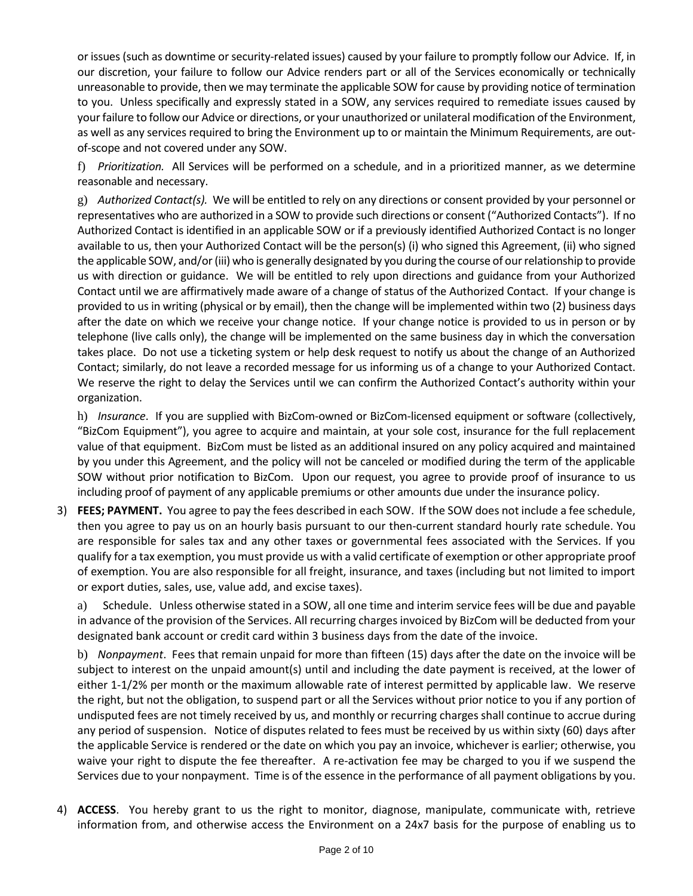or issues (such as downtime orsecurity-related issues) caused by your failure to promptly follow our Advice. If, in our discretion, your failure to follow our Advice renders part or all of the Services economically or technically unreasonable to provide, then we may terminate the applicable SOW for cause by providing notice of termination to you. Unless specifically and expressly stated in a SOW, any services required to remediate issues caused by yourfailure to follow our Advice or directions, or your unauthorized or unilateral modification of the Environment, as well as any services required to bring the Environment up to or maintain the Minimum Requirements, are outof-scope and not covered under any SOW.

f) *Prioritization.* All Services will be performed on a schedule, and in a prioritized manner, as we determine reasonable and necessary.

g) *Authorized Contact(s).* We will be entitled to rely on any directions or consent provided by your personnel or representatives who are authorized in a SOW to provide such directions or consent ("Authorized Contacts"). If no Authorized Contact is identified in an applicable SOW or if a previously identified Authorized Contact is no longer available to us, then your Authorized Contact will be the person(s) (i) who signed this Agreement, (ii) who signed the applicable SOW, and/or (iii) who is generally designated by you during the course of our relationship to provide us with direction or guidance. We will be entitled to rely upon directions and guidance from your Authorized Contact until we are affirmatively made aware of a change of status of the Authorized Contact. If your change is provided to us in writing (physical or by email), then the change will be implemented within two (2) business days after the date on which we receive your change notice. If your change notice is provided to us in person or by telephone (live calls only), the change will be implemented on the same business day in which the conversation takes place. Do not use a ticketing system or help desk request to notify us about the change of an Authorized Contact; similarly, do not leave a recorded message for us informing us of a change to your Authorized Contact. We reserve the right to delay the Services until we can confirm the Authorized Contact's authority within your organization.

h) *Insurance*. If you are supplied with BizCom-owned or BizCom-licensed equipment or software (collectively, "BizCom Equipment"), you agree to acquire and maintain, at your sole cost, insurance for the full replacement value of that equipment. BizCom must be listed as an additional insured on any policy acquired and maintained by you under this Agreement, and the policy will not be canceled or modified during the term of the applicable SOW without prior notification to BizCom. Upon our request, you agree to provide proof of insurance to us including proof of payment of any applicable premiums or other amounts due under the insurance policy.

3) **FEES; PAYMENT.** You agree to pay the fees described in each SOW. If the SOW does not include a fee schedule, then you agree to pay us on an hourly basis pursuant to our then-current standard hourly rate schedule. You are responsible for sales tax and any other taxes or governmental fees associated with the Services. If you qualify for a tax exemption, you must provide us with a valid certificate of exemption or other appropriate proof of exemption. You are also responsible for all freight, insurance, and taxes (including but not limited to import or export duties, sales, use, value add, and excise taxes).

a) Schedule. Unless otherwise stated in a SOW, all one time and interim service fees will be due and payable in advance of the provision of the Services. All recurring charges invoiced by BizCom will be deducted from your designated bank account or credit card within 3 business days from the date of the invoice.

b) *Nonpayment*. Fees that remain unpaid for more than fifteen (15) days after the date on the invoice will be subject to interest on the unpaid amount(s) until and including the date payment is received, at the lower of either 1-1/2% per month or the maximum allowable rate of interest permitted by applicable law. We reserve the right, but not the obligation, to suspend part or all the Services without prior notice to you if any portion of undisputed fees are not timely received by us, and monthly or recurring charges shall continue to accrue during any period of suspension. Notice of disputes related to fees must be received by us within sixty (60) days after the applicable Service is rendered or the date on which you pay an invoice, whichever is earlier; otherwise, you waive your right to dispute the fee thereafter. A re-activation fee may be charged to you if we suspend the Services due to your nonpayment. Time is of the essence in the performance of all payment obligations by you.

4) **ACCESS**. You hereby grant to us the right to monitor, diagnose, manipulate, communicate with, retrieve information from, and otherwise access the Environment on a 24x7 basis for the purpose of enabling us to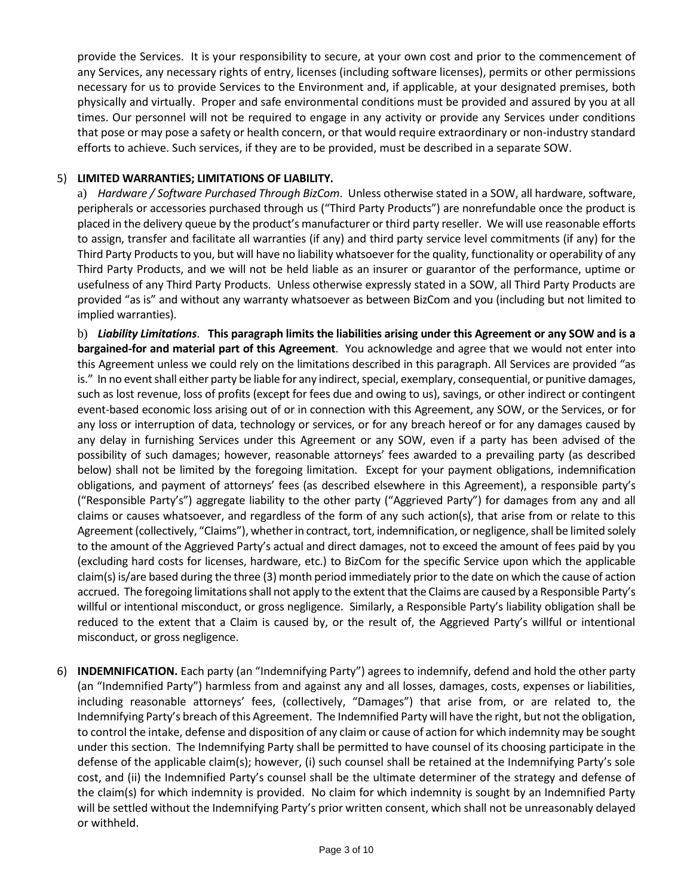provide the Services. It is your responsibility to secure, at your own cost and prior to the commencement of any Services, any necessary rights of entry, licenses (including software licenses), permits or other permissions necessary for us to provide Services to the Environment and, if applicable, at your designated premises, both physically and virtually. Proper and safe environmental conditions must be provided and assured by you at all times. Our personnel will not be required to engage in any activity or provide any Services under conditions that pose or may pose a safety or health concern, or that would require extraordinary or non-industry standard efforts to achieve. Such services, if they are to be provided, must be described in a separate SOW.

#### 5) **LIMITED WARRANTIES; LIMITATIONS OF LIABILITY.**

a) *Hardware / Software Purchased Through BizCom*. Unless otherwise stated in a SOW, all hardware, software, peripherals or accessories purchased through us ("Third Party Products") are nonrefundable once the product is placed in the delivery queue by the product's manufacturer or third party reseller. We will use reasonable efforts to assign, transfer and facilitate all warranties (if any) and third party service level commitments (if any) for the Third Party Products to you, but will have no liability whatsoever for the quality, functionality or operability of any Third Party Products, and we will not be held liable as an insurer or guarantor of the performance, uptime or usefulness of any Third Party Products. Unless otherwise expressly stated in a SOW, all Third Party Products are provided "as is" and without any warranty whatsoever as between BizCom and you (including but not limited to implied warranties).

b) Liability Limitations. This paragraph limits the liabilities arising under this Agreement or any SOW and is a **bargained-for and material part of this Agreement**. You acknowledge and agree that we would not enter into this Agreement unless we could rely on the limitations described in this paragraph. All Services are provided "as is." In no event shall either party be liable for any indirect, special, exemplary, consequential, or punitive damages, such as lost revenue, loss of profits (except for fees due and owing to us), savings, or other indirect or contingent event-based economic loss arising out of or in connection with this Agreement, any SOW, or the Services, or for any loss or interruption of data, technology or services, or for any breach hereof or for any damages caused by any delay in furnishing Services under this Agreement or any SOW, even if a party has been advised of the possibility of such damages; however, reasonable attorneys' fees awarded to a prevailing party (as described below) shall not be limited by the foregoing limitation. Except for your payment obligations, indemnification obligations, and payment of attorneys' fees (as described elsewhere in this Agreement), a responsible party's ("Responsible Party's") aggregate liability to the other party ("Aggrieved Party") for damages from any and all claims or causes whatsoever, and regardless of the form of any such action(s), that arise from or relate to this Agreement (collectively, "Claims"), whether in contract, tort, indemnification, or negligence, shall be limited solely to the amount of the Aggrieved Party's actual and direct damages, not to exceed the amount of fees paid by you (excluding hard costs for licenses, hardware, etc.) to BizCom for the specific Service upon which the applicable claim(s) is/are based during the three (3) month period immediately priorto the date on which the cause of action accrued. The foregoing limitations shall not apply to the extent that the Claims are caused by a Responsible Party's willful or intentional misconduct, or gross negligence. Similarly, a Responsible Party's liability obligation shall be reduced to the extent that a Claim is caused by, or the result of, the Aggrieved Party's willful or intentional misconduct, or gross negligence.

6) **INDEMNIFICATION.** Each party (an "Indemnifying Party") agrees to indemnify, defend and hold the other party (an "Indemnified Party") harmless from and against any and all losses, damages, costs, expenses or liabilities, including reasonable attorneys' fees, (collectively, "Damages") that arise from, or are related to, the Indemnifying Party's breach of this Agreement. The Indemnified Party will have the right, but not the obligation, to control the intake, defense and disposition of any claim or cause of action for which indemnity may be sought under this section. The Indemnifying Party shall be permitted to have counsel of its choosing participate in the defense of the applicable claim(s); however, (i) such counsel shall be retained at the Indemnifying Party's sole cost, and (ii) the Indemnified Party's counsel shall be the ultimate determiner of the strategy and defense of the claim(s) for which indemnity is provided. No claim for which indemnity is sought by an Indemnified Party will be settled without the Indemnifying Party's prior written consent, which shall not be unreasonably delayed or withheld.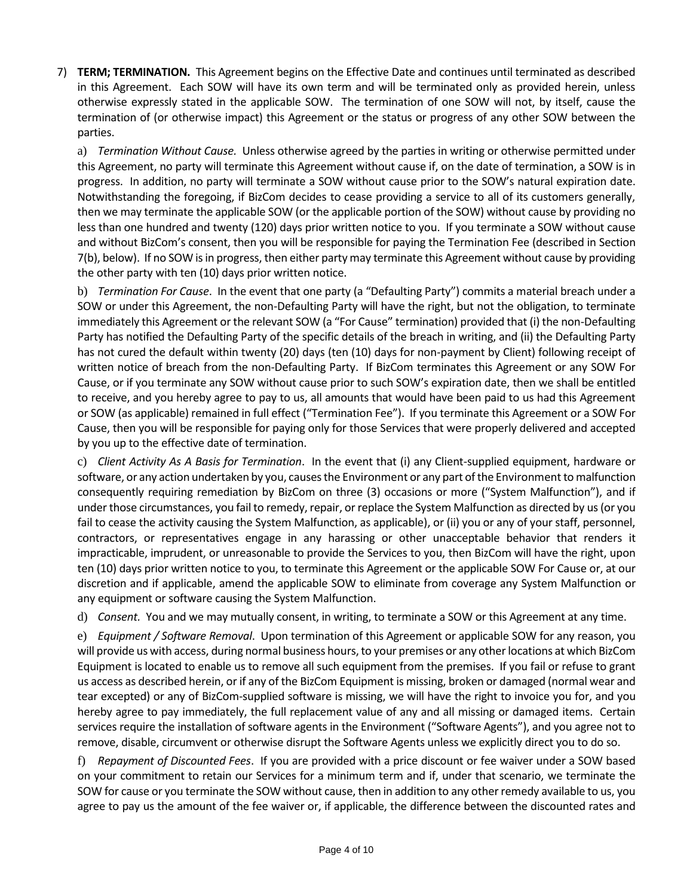7) **TERM; TERMINATION.** This Agreement begins on the Effective Date and continues until terminated as described in this Agreement. Each SOW will have its own term and will be terminated only as provided herein, unless otherwise expressly stated in the applicable SOW. The termination of one SOW will not, by itself, cause the termination of (or otherwise impact) this Agreement or the status or progress of any other SOW between the parties.

a) *Termination Without Cause.* Unless otherwise agreed by the parties in writing or otherwise permitted under this Agreement, no party will terminate this Agreement without cause if, on the date of termination, a SOW is in progress. In addition, no party will terminate a SOW without cause prior to the SOW's natural expiration date. Notwithstanding the foregoing, if BizCom decides to cease providing a service to all of its customers generally, then we may terminate the applicable SOW (or the applicable portion of the SOW) without cause by providing no less than one hundred and twenty (120) days prior written notice to you. If you terminate a SOW without cause and without BizCom's consent, then you will be responsible for paying the Termination Fee (described in Section 7(b), below). If no SOW isin progress, then either party may terminate this Agreement without cause by providing the other party with ten (10) days prior written notice.

b) *Termination For Cause*. In the event that one party (a "Defaulting Party") commits a material breach under a SOW or under this Agreement, the non-Defaulting Party will have the right, but not the obligation, to terminate immediately this Agreement or the relevant SOW (a "For Cause" termination) provided that (i) the non-Defaulting Party has notified the Defaulting Party of the specific details of the breach in writing, and (ii) the Defaulting Party has not cured the default within twenty (20) days (ten (10) days for non-payment by Client) following receipt of written notice of breach from the non-Defaulting Party. If BizCom terminates this Agreement or any SOW For Cause, or if you terminate any SOW without cause prior to such SOW's expiration date, then we shall be entitled to receive, and you hereby agree to pay to us, all amounts that would have been paid to us had this Agreement or SOW (as applicable) remained in full effect ("Termination Fee"). If you terminate this Agreement or a SOW For Cause, then you will be responsible for paying only for those Services that were properly delivered and accepted by you up to the effective date of termination.

c) *Client Activity As A Basis for Termination*. In the event that (i) any Client-supplied equipment, hardware or software, or any action undertaken by you, causes the Environment or any part of the Environment to malfunction consequently requiring remediation by BizCom on three (3) occasions or more ("System Malfunction"), and if under those circumstances, you fail to remedy, repair, or replace the System Malfunction as directed by us (or you fail to cease the activity causing the System Malfunction, as applicable), or (ii) you or any of your staff, personnel, contractors, or representatives engage in any harassing or other unacceptable behavior that renders it impracticable, imprudent, or unreasonable to provide the Services to you, then BizCom will have the right, upon ten (10) days prior written notice to you, to terminate this Agreement or the applicable SOW For Cause or, at our discretion and if applicable, amend the applicable SOW to eliminate from coverage any System Malfunction or any equipment or software causing the System Malfunction.

d) *Consent.* You and we may mutually consent, in writing, to terminate a SOW or this Agreement at any time.

e) *Equipment / Software Removal*. Upon termination of this Agreement or applicable SOW for any reason, you will provide us with access, during normal business hours, to your premises or any other locations at which BizCom Equipment is located to enable us to remove all such equipment from the premises. If you fail or refuse to grant us access as described herein, or if any of the BizCom Equipment is missing, broken or damaged (normal wear and tear excepted) or any of BizCom-supplied software is missing, we will have the right to invoice you for, and you hereby agree to pay immediately, the full replacement value of any and all missing or damaged items. Certain services require the installation of software agents in the Environment ("Software Agents"), and you agree not to remove, disable, circumvent or otherwise disrupt the Software Agents unless we explicitly direct you to do so.

f) *Repayment of Discounted Fees*. If you are provided with a price discount or fee waiver under a SOW based on your commitment to retain our Services for a minimum term and if, under that scenario, we terminate the SOW for cause or you terminate the SOW without cause, then in addition to any other remedy available to us, you agree to pay us the amount of the fee waiver or, if applicable, the difference between the discounted rates and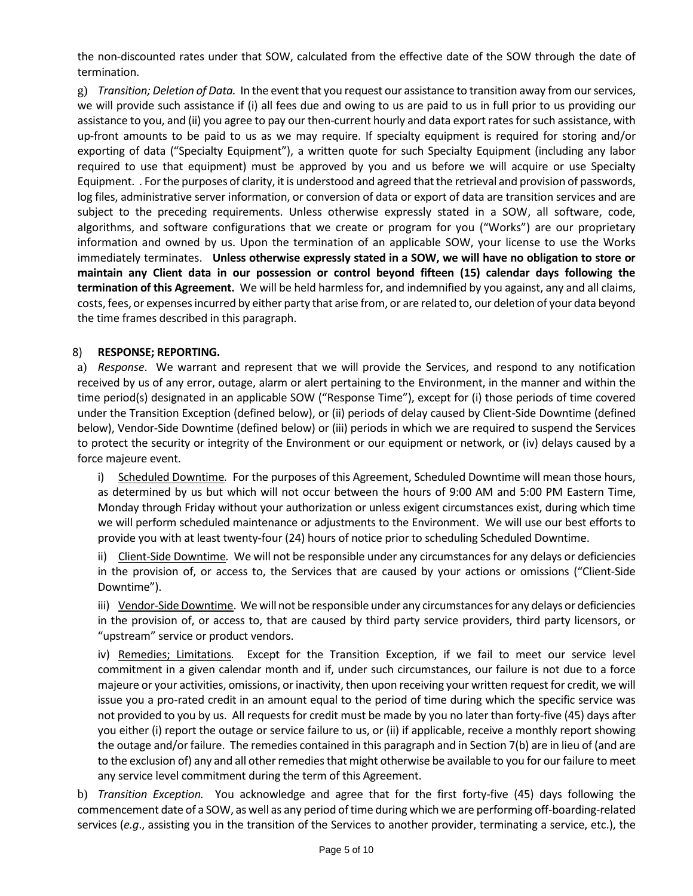the non-discounted rates under that SOW, calculated from the effective date of the SOW through the date of termination.

g) *Transition; Deletion of Data.* In the event that you request our assistance to transition away from ourservices, we will provide such assistance if (i) all fees due and owing to us are paid to us in full prior to us providing our assistance to you, and (ii) you agree to pay our then-current hourly and data export ratesforsuch assistance, with up-front amounts to be paid to us as we may require. If specialty equipment is required for storing and/or exporting of data ("Specialty Equipment"), a written quote for such Specialty Equipment (including any labor required to use that equipment) must be approved by you and us before we will acquire or use Specialty Equipment. . For the purposes of clarity, it is understood and agreed that the retrieval and provision of passwords, log files, administrative server information, or conversion of data or export of data are transition services and are subject to the preceding requirements. Unless otherwise expressly stated in a SOW, all software, code, algorithms, and software configurations that we create or program for you ("Works") are our proprietary information and owned by us. Upon the termination of an applicable SOW, your license to use the Works immediately terminates. **Unless otherwise expressly stated in a SOW, we will have no obligation to store or maintain any Client data in our possession or control beyond fifteen (15) calendar days following the termination of this Agreement.** We will be held harmless for, and indemnified by you against, any and all claims, costs, fees, or expensesincurred by either party that arise from, or are related to, our deletion of your data beyond the time frames described in this paragraph.

## 8) **RESPONSE; REPORTING.**

a) *Response*. We warrant and represent that we will provide the Services, and respond to any notification received by us of any error, outage, alarm or alert pertaining to the Environment, in the manner and within the time period(s) designated in an applicable SOW ("Response Time"), except for (i) those periods of time covered under the Transition Exception (defined below), or (ii) periods of delay caused by Client-Side Downtime (defined below), Vendor-Side Downtime (defined below) or (iii) periods in which we are required to suspend the Services to protect the security or integrity of the Environment or our equipment or network, or (iv) delays caused by a force majeure event.

i) Scheduled Downtime*.* For the purposes of this Agreement, Scheduled Downtime will mean those hours, as determined by us but which will not occur between the hours of 9:00 AM and 5:00 PM Eastern Time, Monday through Friday without your authorization or unless exigent circumstances exist, during which time we will perform scheduled maintenance or adjustments to the Environment. We will use our best efforts to provide you with at least twenty-four (24) hours of notice prior to scheduling Scheduled Downtime.

ii) Client-Side Downtime*.* We will not be responsible under any circumstances for any delays or deficiencies in the provision of, or access to, the Services that are caused by your actions or omissions ("Client-Side Downtime").

iii) Vendor-Side Downtime. We will not be responsible under any circumstancesfor any delays or deficiencies in the provision of, or access to, that are caused by third party service providers, third party licensors, or "upstream" service or product vendors.

iv) Remedies; Limitations*.* Except for the Transition Exception, if we fail to meet our service level commitment in a given calendar month and if, under such circumstances, our failure is not due to a force majeure or your activities, omissions, orinactivity, then upon receiving your written request for credit, we will issue you a pro-rated credit in an amount equal to the period of time during which the specific service was not provided to you by us. All requests for credit must be made by you no later than forty-five (45) days after you either (i) report the outage or service failure to us, or (ii) if applicable, receive a monthly report showing the outage and/or failure. The remedies contained in this paragraph and in Section 7(b) are in lieu of (and are to the exclusion of) any and all other remedies that might otherwise be available to you for our failure to meet any service level commitment during the term of this Agreement.

b) *Transition Exception.* You acknowledge and agree that for the first forty-five (45) days following the commencement date of a SOW, as well as any period of time during which we are performing off-boarding-related services (*e.g*., assisting you in the transition of the Services to another provider, terminating a service, etc.), the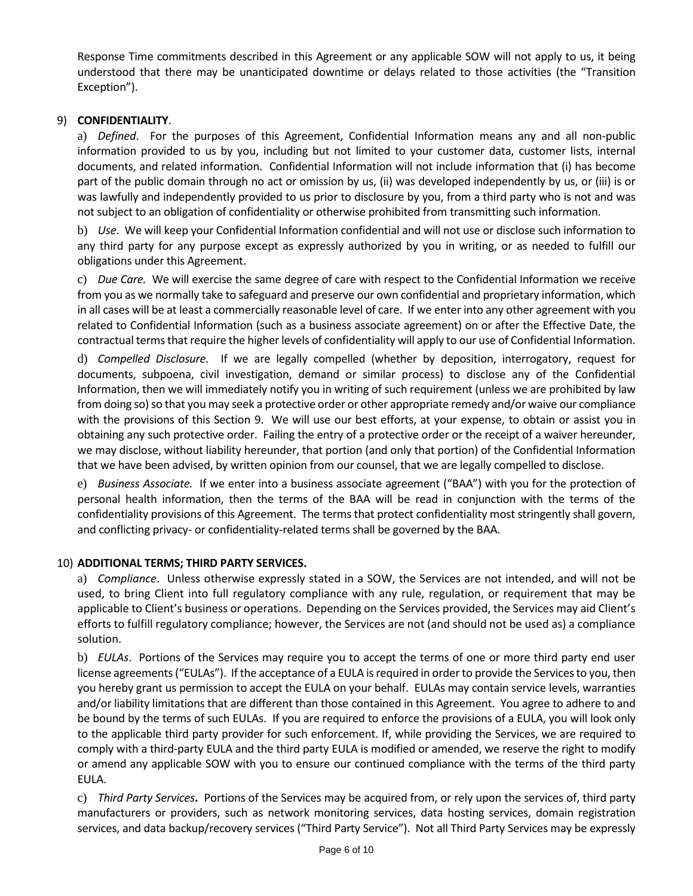Response Time commitments described in this Agreement or any applicable SOW will not apply to us, it being understood that there may be unanticipated downtime or delays related to those activities (the "Transition Exception").

## 9) **CONFIDENTIALITY**.

a) *Defined*. For the purposes of this Agreement, Confidential Information means any and all non-public information provided to us by you, including but not limited to your customer data, customer lists, internal documents, and related information. Confidential Information will not include information that (i) has become part of the public domain through no act or omission by us, (ii) was developed independently by us, or (iii) is or was lawfully and independently provided to us prior to disclosure by you, from a third party who is not and was not subject to an obligation of confidentiality or otherwise prohibited from transmitting such information.

b) *Use*. We will keep your Confidential Information confidential and will not use or disclose such information to any third party for any purpose except as expressly authorized by you in writing, or as needed to fulfill our obligations under this Agreement.

c) *Due Care.* We will exercise the same degree of care with respect to the Confidential Information we receive from you as we normally take to safeguard and preserve our own confidential and proprietary information, which in all cases will be at least a commercially reasonable level of care. If we enter into any other agreement with you related to Confidential Information (such as a business associate agreement) on or after the Effective Date, the contractual terms that require the higher levels of confidentiality will apply to our use of Confidential Information.

d) *Compelled Disclosure.* If we are legally compelled (whether by deposition, interrogatory, request for documents, subpoena, civil investigation, demand or similar process) to disclose any of the Confidential Information, then we will immediately notify you in writing of such requirement (unless we are prohibited by law from doing so) so that you may seek a protective order or other appropriate remedy and/or waive our compliance with the provisions of this Section 9. We will use our best efforts, at your expense, to obtain or assist you in obtaining any such protective order. Failing the entry of a protective order or the receipt of a waiver hereunder, we may disclose, without liability hereunder, that portion (and only that portion) of the Confidential Information that we have been advised, by written opinion from our counsel, that we are legally compelled to disclose.

e) *Business Associate.* If we enter into a business associate agreement ("BAA") with you for the protection of personal health information, then the terms of the BAA will be read in conjunction with the terms of the confidentiality provisions of this Agreement. The terms that protect confidentiality most stringently shall govern, and conflicting privacy- or confidentiality-related terms shall be governed by the BAA.

#### 10) **ADDITIONAL TERMS; THIRD PARTY SERVICES.**

a) *Compliance*. Unless otherwise expressly stated in a SOW, the Services are not intended, and will not be used, to bring Client into full regulatory compliance with any rule, regulation, or requirement that may be applicable to Client's business or operations. Depending on the Services provided, the Services may aid Client's efforts to fulfill regulatory compliance; however, the Services are not (and should not be used as) a compliance solution.

b) *EULAs*. Portions of the Services may require you to accept the terms of one or more third party end user license agreements ("EULAs"). If the acceptance of a EULA is required in order to provide the Services to you, then you hereby grant us permission to accept the EULA on your behalf. EULAs may contain service levels, warranties and/or liability limitations that are different than those contained in this Agreement. You agree to adhere to and be bound by the terms of such EULAs. If you are required to enforce the provisions of a EULA, you will look only to the applicable third party provider for such enforcement. If, while providing the Services, we are required to comply with a third-party EULA and the third party EULA is modified or amended, we reserve the right to modify or amend any applicable SOW with you to ensure our continued compliance with the terms of the third party EULA.

c) *Third Party Services***.** Portions of the Services may be acquired from, or rely upon the services of, third party manufacturers or providers, such as network monitoring services, data hosting services, domain registration services, and data backup/recovery services ("Third Party Service"). Not all Third Party Services may be expressly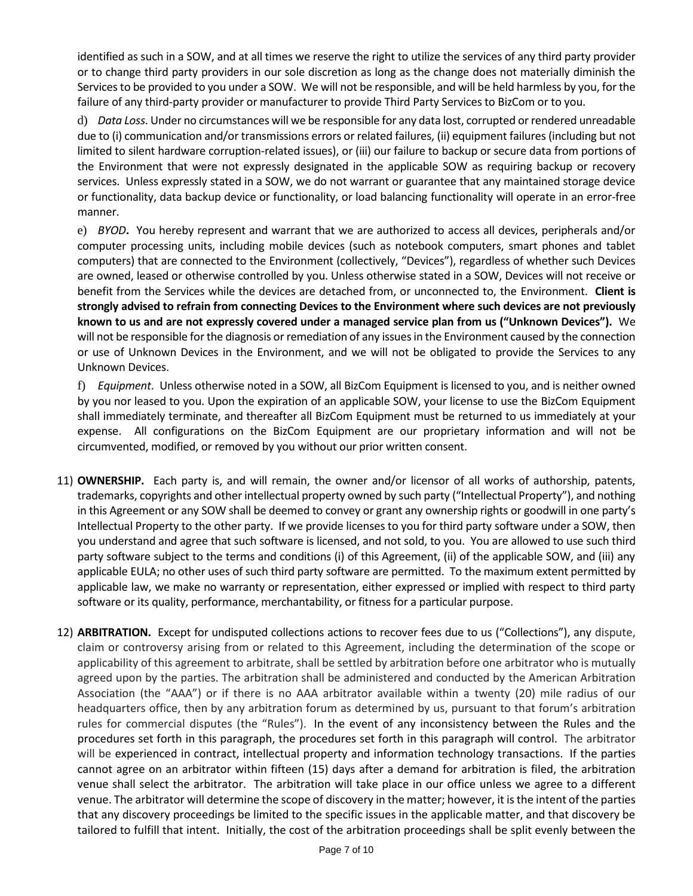identified as such in a SOW, and at all times we reserve the right to utilize the services of any third party provider or to change third party providers in our sole discretion as long as the change does not materially diminish the Services to be provided to you under a SOW. We will not be responsible, and will be held harmless by you, for the failure of any third-party provider or manufacturer to provide Third Party Services to BizCom or to you.

d) *Data Loss*. Under no circumstances will we be responsible for any data lost, corrupted orrendered unreadable due to (i) communication and/or transmissions errors or related failures, (ii) equipment failures (including but not limited to silent hardware corruption-related issues), or (iii) our failure to backup or secure data from portions of the Environment that were not expressly designated in the applicable SOW as requiring backup or recovery services. Unless expressly stated in a SOW, we do not warrant or guarantee that any maintained storage device or functionality, data backup device or functionality, or load balancing functionality will operate in an error-free manner.

e) *BYOD***.** You hereby represent and warrant that we are authorized to access all devices, peripherals and/or computer processing units, including mobile devices (such as notebook computers, smart phones and tablet computers) that are connected to the Environment (collectively, "Devices"), regardless of whether such Devices are owned, leased or otherwise controlled by you. Unless otherwise stated in a SOW, Devices will not receive or benefit from the Services while the devices are detached from, or unconnected to, the Environment. **Client is strongly advised to refrain from connecting Devices to the Environment where such devices are not previously known to us and are not expressly covered under a managed service plan from us ("Unknown Devices").** We will not be responsible for the diagnosis or remediation of any issues in the Environment caused by the connection or use of Unknown Devices in the Environment, and we will not be obligated to provide the Services to any Unknown Devices.

f) *Equipment*. Unless otherwise noted in a SOW, all BizCom Equipment is licensed to you, and is neither owned by you nor leased to you. Upon the expiration of an applicable SOW, your license to use the BizCom Equipment shall immediately terminate, and thereafter all BizCom Equipment must be returned to us immediately at your expense. All configurations on the BizCom Equipment are our proprietary information and will not be circumvented, modified, or removed by you without our prior written consent.

- 11) **OWNERSHIP.** Each party is, and will remain, the owner and/or licensor of all works of authorship, patents, trademarks, copyrights and other intellectual property owned by such party ("Intellectual Property"), and nothing in this Agreement or any SOW shall be deemed to convey or grant any ownership rights or goodwill in one party's Intellectual Property to the other party. If we provide licenses to you for third party software under a SOW, then you understand and agree that such software is licensed, and not sold, to you. You are allowed to use such third party software subject to the terms and conditions (i) of this Agreement, (ii) of the applicable SOW, and (iii) any applicable EULA; no other uses of such third party software are permitted. To the maximum extent permitted by applicable law, we make no warranty or representation, either expressed or implied with respect to third party software or its quality, performance, merchantability, or fitness for a particular purpose.
- 12) **ARBITRATION.** Except for undisputed collections actions to recover fees due to us ("Collections"), any dispute, claim or controversy arising from or related to this Agreement, including the determination of the scope or applicability of this agreement to arbitrate, shall be settled by arbitration before one arbitrator who is mutually agreed upon by the parties. The arbitration shall be administered and conducted by the American Arbitration Association (the "AAA") or if there is no AAA arbitrator available within a twenty (20) mile radius of our headquarters office, then by any arbitration forum as determined by us, pursuant to that forum's arbitration rules for commercial disputes (the "Rules"). In the event of any inconsistency between the Rules and the procedures set forth in this paragraph, the procedures set forth in this paragraph will control. The arbitrator will be experienced in contract, intellectual property and information technology transactions. If the parties cannot agree on an arbitrator within fifteen (15) days after a demand for arbitration is filed, the arbitration venue shall select the arbitrator. The arbitration will take place in our office unless we agree to a different venue. The arbitrator will determine the scope of discovery in the matter; however, it isthe intent of the parties that any discovery proceedings be limited to the specific issues in the applicable matter, and that discovery be tailored to fulfill that intent. Initially, the cost of the arbitration proceedings shall be split evenly between the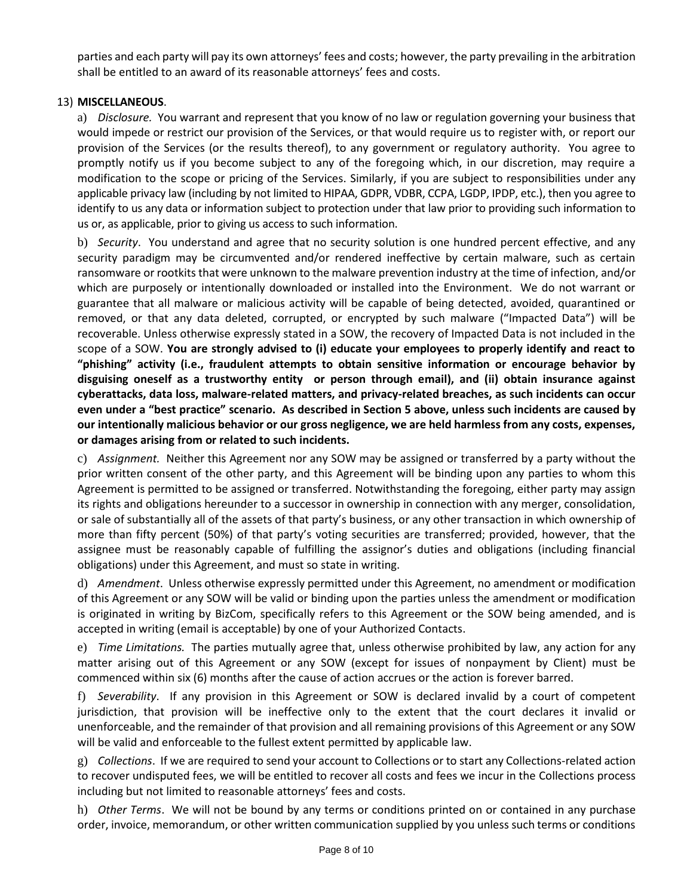parties and each party will pay its own attorneys' fees and costs; however, the party prevailing in the arbitration shall be entitled to an award of its reasonable attorneys' fees and costs.

# 13) **MISCELLANEOUS**.

a) *Disclosure.* You warrant and represent that you know of no law or regulation governing your business that would impede or restrict our provision of the Services, or that would require us to register with, or report our provision of the Services (or the results thereof), to any government or regulatory authority. You agree to promptly notify us if you become subject to any of the foregoing which, in our discretion, may require a modification to the scope or pricing of the Services. Similarly, if you are subject to responsibilities under any applicable privacy law (including by not limited to HIPAA, GDPR, VDBR, CCPA, LGDP, IPDP, etc.), then you agree to identify to us any data or information subject to protection under that law prior to providing such information to us or, as applicable, prior to giving us access to such information.

b) *Security*. You understand and agree that no security solution is one hundred percent effective, and any security paradigm may be circumvented and/or rendered ineffective by certain malware, such as certain ransomware or rootkits that were unknown to the malware prevention industry at the time of infection, and/or which are purposely or intentionally downloaded or installed into the Environment. We do not warrant or guarantee that all malware or malicious activity will be capable of being detected, avoided, quarantined or removed, or that any data deleted, corrupted, or encrypted by such malware ("Impacted Data") will be recoverable. Unless otherwise expressly stated in a SOW, the recovery of Impacted Data is not included in the scope of a SOW. **You are strongly advised to (i) educate your employees to properly identify and react to "phishing" activity (i.e., fraudulent attempts to obtain sensitive information or encourage behavior by disguising oneself as a trustworthy entity or person through email), and (ii) obtain insurance against cyberattacks, data loss, malware-related matters, and privacy-related breaches, as such incidents can occur even under a "best practice" scenario. As described in Section 5 above, unless such incidents are caused by our intentionally malicious behavior or our gross negligence, we are held harmless from any costs, expenses, or damages arising from or related to such incidents.**

c) *Assignment.* Neither this Agreement nor any SOW may be assigned or transferred by a party without the prior written consent of the other party, and this Agreement will be binding upon any parties to whom this Agreement is permitted to be assigned or transferred. Notwithstanding the foregoing, either party may assign its rights and obligations hereunder to a successor in ownership in connection with any merger, consolidation, or sale of substantially all of the assets of that party's business, or any other transaction in which ownership of more than fifty percent (50%) of that party's voting securities are transferred; provided, however, that the assignee must be reasonably capable of fulfilling the assignor's duties and obligations (including financial obligations) under this Agreement, and must so state in writing.

d) *Amendment*. Unless otherwise expressly permitted under this Agreement, no amendment or modification of this Agreement or any SOW will be valid or binding upon the parties unless the amendment or modification is originated in writing by BizCom, specifically refers to this Agreement or the SOW being amended, and is accepted in writing (email is acceptable) by one of your Authorized Contacts.

e) *Time Limitations.* The parties mutually agree that, unless otherwise prohibited by law, any action for any matter arising out of this Agreement or any SOW (except for issues of nonpayment by Client) must be commenced within six (6) months after the cause of action accrues or the action is forever barred.

f) *Severability*. If any provision in this Agreement or SOW is declared invalid by a court of competent jurisdiction, that provision will be ineffective only to the extent that the court declares it invalid or unenforceable, and the remainder of that provision and all remaining provisions of this Agreement or any SOW will be valid and enforceable to the fullest extent permitted by applicable law.

g) *Collections*. If we are required to send your account to Collections or to start any Collections-related action to recover undisputed fees, we will be entitled to recover all costs and fees we incur in the Collections process including but not limited to reasonable attorneys' fees and costs.

h) *Other Terms*. We will not be bound by any terms or conditions printed on or contained in any purchase order, invoice, memorandum, or other written communication supplied by you unless such terms or conditions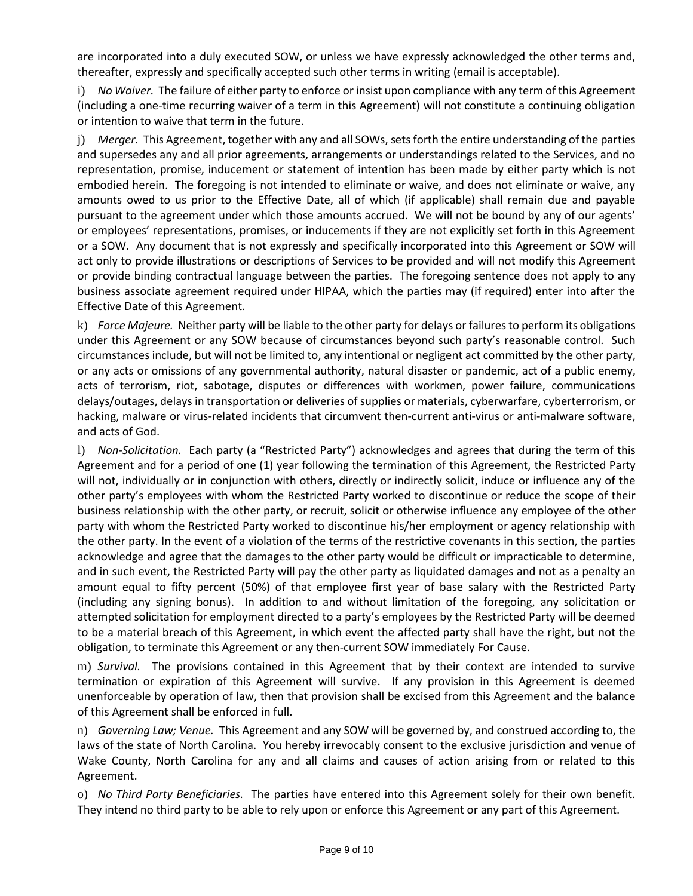are incorporated into a duly executed SOW, or unless we have expressly acknowledged the other terms and, thereafter, expressly and specifically accepted such other terms in writing (email is acceptable).

i) *No Waiver.* The failure of either party to enforce or insist upon compliance with any term of this Agreement (including a one-time recurring waiver of a term in this Agreement) will not constitute a continuing obligation or intention to waive that term in the future.

j) *Merger.* This Agreement, together with any and all SOWs, setsforth the entire understanding of the parties and supersedes any and all prior agreements, arrangements or understandings related to the Services, and no representation, promise, inducement or statement of intention has been made by either party which is not embodied herein. The foregoing is not intended to eliminate or waive, and does not eliminate or waive, any amounts owed to us prior to the Effective Date, all of which (if applicable) shall remain due and payable pursuant to the agreement under which those amounts accrued. We will not be bound by any of our agents' or employees' representations, promises, or inducements if they are not explicitly set forth in this Agreement or a SOW. Any document that is not expressly and specifically incorporated into this Agreement or SOW will act only to provide illustrations or descriptions of Services to be provided and will not modify this Agreement or provide binding contractual language between the parties. The foregoing sentence does not apply to any business associate agreement required under HIPAA, which the parties may (if required) enter into after the Effective Date of this Agreement.

k) *Force Majeure.* Neither party will be liable to the other party for delays or failuresto perform its obligations under this Agreement or any SOW because of circumstances beyond such party's reasonable control. Such circumstances include, but will not be limited to, any intentional or negligent act committed by the other party, or any acts or omissions of any governmental authority, natural disaster or pandemic, act of a public enemy, acts of terrorism, riot, sabotage, disputes or differences with workmen, power failure, communications delays/outages, delays in transportation or deliveries of supplies or materials, cyberwarfare, cyberterrorism, or hacking, malware or virus-related incidents that circumvent then-current anti-virus or anti-malware software, and acts of God.

l) *Non-Solicitation.* Each party (a "Restricted Party") acknowledges and agrees that during the term of this Agreement and for a period of one (1) year following the termination of this Agreement, the Restricted Party will not, individually or in conjunction with others, directly or indirectly solicit, induce or influence any of the other party's employees with whom the Restricted Party worked to discontinue or reduce the scope of their business relationship with the other party, or recruit, solicit or otherwise influence any employee of the other party with whom the Restricted Party worked to discontinue his/her employment or agency relationship with the other party. In the event of a violation of the terms of the restrictive covenants in this section, the parties acknowledge and agree that the damages to the other party would be difficult or impracticable to determine, and in such event, the Restricted Party will pay the other party as liquidated damages and not as a penalty an amount equal to fifty percent (50%) of that employee first year of base salary with the Restricted Party (including any signing bonus). In addition to and without limitation of the foregoing, any solicitation or attempted solicitation for employment directed to a party's employees by the Restricted Party will be deemed to be a material breach of this Agreement, in which event the affected party shall have the right, but not the obligation, to terminate this Agreement or any then-current SOW immediately For Cause.

m) *Survival.* The provisions contained in this Agreement that by their context are intended to survive termination or expiration of this Agreement will survive. If any provision in this Agreement is deemed unenforceable by operation of law, then that provision shall be excised from this Agreement and the balance of this Agreement shall be enforced in full.

n) *Governing Law; Venue.* This Agreement and any SOW will be governed by, and construed according to, the laws of the state of North Carolina. You hereby irrevocably consent to the exclusive jurisdiction and venue of Wake County, North Carolina for any and all claims and causes of action arising from or related to this Agreement.

o) *No Third Party Beneficiaries.* The parties have entered into this Agreement solely for their own benefit. They intend no third party to be able to rely upon or enforce this Agreement or any part of this Agreement.